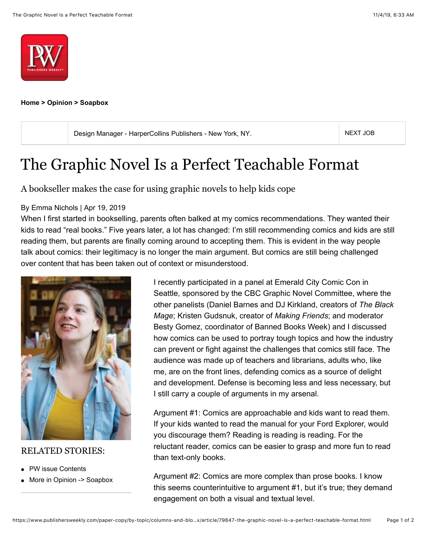



**[Home](https://www.publishersweekly.com/paper-copy/home/index.html) > [Opinion](https://www.publishersweekly.com/paper-copy/by-topic/columns-and-blogs/index.html) > [Soapbox](https://www.publishersweekly.com/paper-copy/by-topic/columns-and-blogs/soapbox/index.html)**

[Design Manager - HarperCollins Publishers - New York, NY](https://jobzone.publishersweekly.com/job/design-manager/51512922/). [NEXT JOB](https://www.publishersweekly.com/paper-copy/by-topic/columns-and-blogs/soapbox/article/79847-the-graphic-novel-is-a-perfect-teachable-format.html) NEXT JOB

## The Graphic Novel Is a Perfect Teachable Format

A bookseller makes the case for using graphic novels to help kids cope

## By Emma Nichols | Apr 19, 2019

When I first started in bookselling, parents often balked at my comics recommendations. They wanted their kids to read "real books." Five years later, a lot has changed: I'm still recommending comics and kids are still reading them, but parents are finally coming around to accepting them. This is evident in the way people talk about comics: their legitimacy is no longer the main argument. But comics are still being challenged over content that has been taken out of context or misunderstood.



## RELATED STORIES:

- [PW issue Contents](https://www.publishersweekly.com/pw/print/20190422.html)
- More in [Opinion -> Soapbox](https://www.publishersweekly.com/pw/by-topic/columns-and-blogs/soapbox/index.html)

I recently participated in a panel at Emerald City Comic Con in Seattle, sponsored by the CBC Graphic Novel Committee, where the other panelists (Daniel Barnes and DJ Kirkland, creators of *The Black Mage*; Kristen Gudsnuk, creator of *Making Friends*; and moderator Besty Gomez, coordinator of Banned Books Week) and I discussed how comics can be used to portray tough topics and how the industry can prevent or fight against the challenges that comics still face. The audience was made up of teachers and librarians, adults who, like me, are on the front lines, defending comics as a source of delight and development. Defense is becoming less and less necessary, but I still carry a couple of arguments in my arsenal.

Argument #1: Comics are approachable and kids want to read them. If your kids wanted to read the manual for your Ford Explorer, would you discourage them? Reading is reading is reading. For the reluctant reader, comics can be easier to grasp and more fun to read than text-only books.

Argument #2: Comics are more complex than prose books. I know this seems counterintuitive to argument #1, but it's true; they demand engagement on both a visual and textual level.